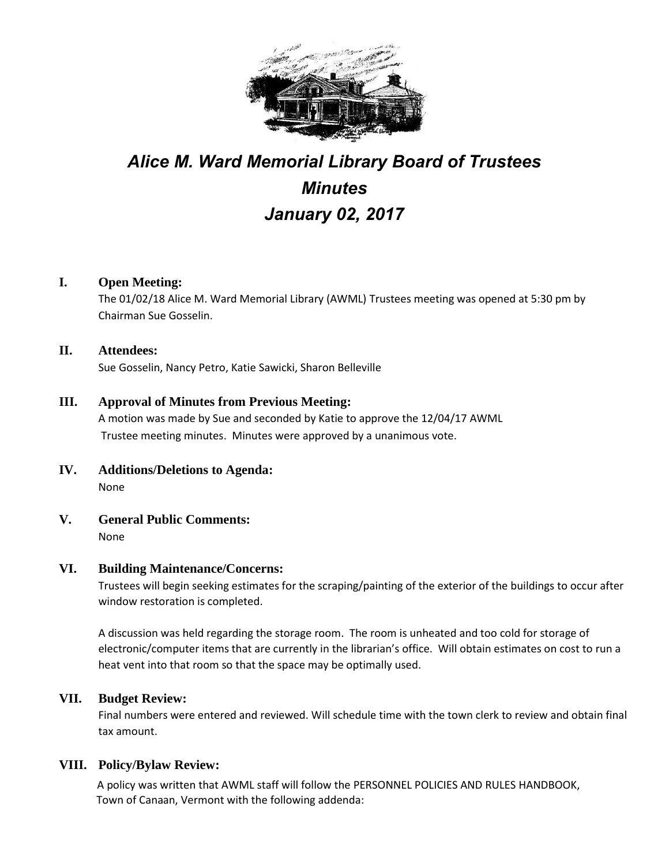

# *Alice M. Ward Memorial Library Board of Trustees Minutes January 02, 2017*

# **I. Open Meeting:**

The 01/02/18 Alice M. Ward Memorial Library (AWML) Trustees meeting was opened at 5:30 pm by Chairman Sue Gosselin.

# **II. Attendees:**

Sue Gosselin, Nancy Petro, Katie Sawicki, Sharon Belleville

# **III. Approval of Minutes from Previous Meeting:**

A motion was made by Sue and seconded by Katie to approve the 12/04/17 AWML Trustee meeting minutes. Minutes were approved by a unanimous vote.

- **IV. Additions/Deletions to Agenda:** None
- **V. General Public Comments:** None

#### **VI. Building Maintenance/Concerns:**

Trustees will begin seeking estimates for the scraping/painting of the exterior of the buildings to occur after window restoration is completed.

A discussion was held regarding the storage room. The room is unheated and too cold for storage of electronic/computer items that are currently in the librarian's office. Will obtain estimates on cost to run a heat vent into that room so that the space may be optimally used.

# **VII. Budget Review:**

Final numbers were entered and reviewed. Will schedule time with the town clerk to review and obtain final tax amount.

# **VIII. Policy/Bylaw Review:**

 A policy was written that AWML staff will follow the PERSONNEL POLICIES AND RULES HANDBOOK, Town of Canaan, Vermont with the following addenda: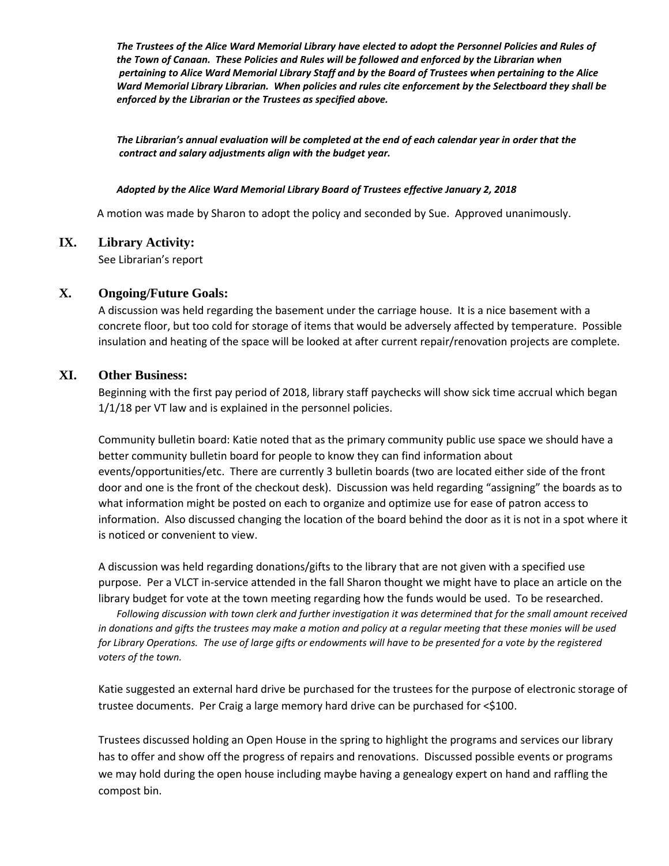*The Trustees of the Alice Ward Memorial Library have elected to adopt the Personnel Policies and Rules of the Town of Canaan. These Policies and Rules will be followed and enforced by the Librarian when pertaining to Alice Ward Memorial Library Staff and by the Board of Trustees when pertaining to the Alice Ward Memorial Library Librarian. When policies and rules cite enforcement by the Selectboard they shall be enforced by the Librarian or the Trustees as specified above.*

 *The Librarian's annual evaluation will be completed at the end of each calendar year in order that the contract and salary adjustments align with the budget year.*

#### *Adopted by the Alice Ward Memorial Library Board of Trustees effective January 2, 2018*

A motion was made by Sharon to adopt the policy and seconded by Sue. Approved unanimously.

# **IX. Library Activity:**

See Librarian's report

#### **X. Ongoing/Future Goals:**

A discussion was held regarding the basement under the carriage house. It is a nice basement with a concrete floor, but too cold for storage of items that would be adversely affected by temperature. Possible insulation and heating of the space will be looked at after current repair/renovation projects are complete.

#### **XI. Other Business:**

Beginning with the first pay period of 2018, library staff paychecks will show sick time accrual which began 1/1/18 per VT law and is explained in the personnel policies.

Community bulletin board: Katie noted that as the primary community public use space we should have a better community bulletin board for people to know they can find information about events/opportunities/etc. There are currently 3 bulletin boards (two are located either side of the front door and one is the front of the checkout desk). Discussion was held regarding "assigning" the boards as to what information might be posted on each to organize and optimize use for ease of patron access to information. Also discussed changing the location of the board behind the door as it is not in a spot where it is noticed or convenient to view.

A discussion was held regarding donations/gifts to the library that are not given with a specified use purpose. Per a VLCT in-service attended in the fall Sharon thought we might have to place an article on the library budget for vote at the town meeting regarding how the funds would be used. To be researched.

*Following discussion with town clerk and further investigation it was determined that for the small amount received*  in donations and gifts the trustees may make a motion and policy at a regular meeting that these monies will be used for Library Operations. The use of large gifts or endowments will have to be presented for a vote by the registered *voters of the town.*

Katie suggested an external hard drive be purchased for the trustees for the purpose of electronic storage of trustee documents. Per Craig a large memory hard drive can be purchased for <\$100.

Trustees discussed holding an Open House in the spring to highlight the programs and services our library has to offer and show off the progress of repairs and renovations. Discussed possible events or programs we may hold during the open house including maybe having a genealogy expert on hand and raffling the compost bin.